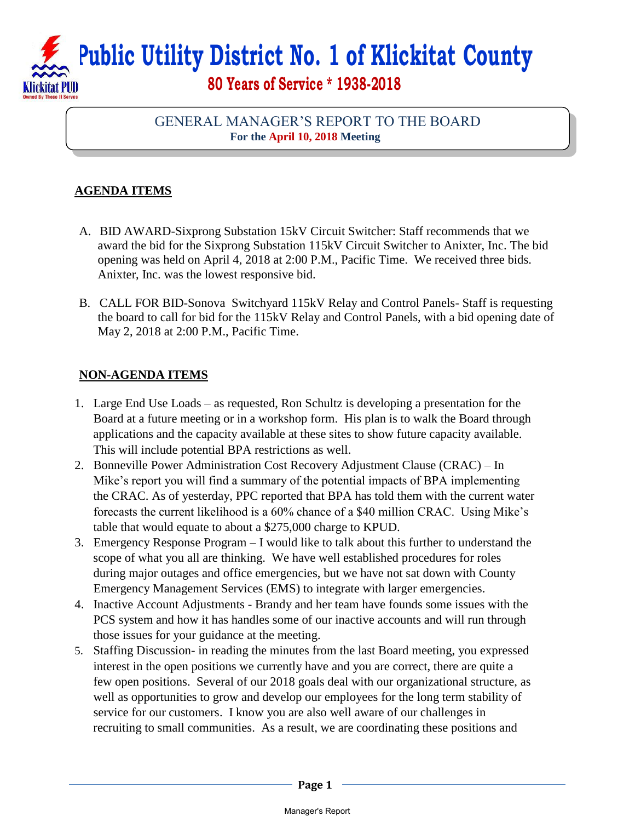## **Public Utility District No. 1 of Klickitat County 80 Years of Service \* 1938-2018**  Klickitat PHD

## GENERAL MANAGER'S REPORT TO THE BOARD **For the April 10, 2018 Meeting**

## **AGENDA ITEMS**

- A. BID AWARD-Sixprong Substation 15kV Circuit Switcher: Staff recommends that we award the bid for the Sixprong Substation 115kV Circuit Switcher to Anixter, Inc. The bid opening was held on April 4, 2018 at 2:00 P.M., Pacific Time. We received three bids. Anixter, Inc. was the lowest responsive bid.
- B. CALL FOR BID-Sonova Switchyard 115kV Relay and Control Panels- Staff is requesting the board to call for bid for the 115kV Relay and Control Panels, with a bid opening date of May 2, 2018 at 2:00 P.M., Pacific Time.

## **NON-AGENDA ITEMS**

- 1. Large End Use Loads as requested, Ron Schultz is developing a presentation for the Board at a future meeting or in a workshop form. His plan is to walk the Board through applications and the capacity available at these sites to show future capacity available. This will include potential BPA restrictions as well.
- 2. Bonneville Power Administration Cost Recovery Adjustment Clause (CRAC) In Mike's report you will find a summary of the potential impacts of BPA implementing the CRAC. As of yesterday, PPC reported that BPA has told them with the current water forecasts the current likelihood is a 60% chance of a \$40 million CRAC. Using Mike's table that would equate to about a \$275,000 charge to KPUD.
- 3. Emergency Response Program I would like to talk about this further to understand the scope of what you all are thinking. We have well established procedures for roles during major outages and office emergencies, but we have not sat down with County Emergency Management Services (EMS) to integrate with larger emergencies.
- 4. Inactive Account Adjustments Brandy and her team have founds some issues with the PCS system and how it has handles some of our inactive accounts and will run through those issues for your guidance at the meeting.
- 5. Staffing Discussion- in reading the minutes from the last Board meeting, you expressed interest in the open positions we currently have and you are correct, there are quite a few open positions. Several of our 2018 goals deal with our organizational structure, as well as opportunities to grow and develop our employees for the long term stability of service for our customers. I know you are also well aware of our challenges in recruiting to small communities. As a result, we are coordinating these positions and